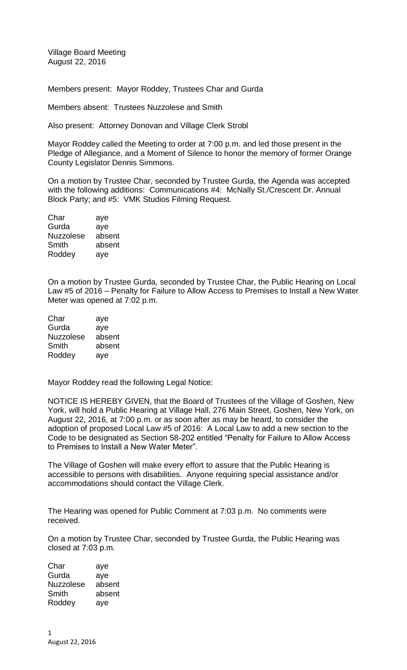Village Board Meeting August 22, 2016

Members present: Mayor Roddey, Trustees Char and Gurda

Members absent: Trustees Nuzzolese and Smith

Also present: Attorney Donovan and Village Clerk Strobl

Mayor Roddey called the Meeting to order at 7:00 p.m. and led those present in the Pledge of Allegiance, and a Moment of Silence to honor the memory of former Orange County Legislator Dennis Simmons.

On a motion by Trustee Char, seconded by Trustee Gurda, the Agenda was accepted with the following additions: Communications #4: McNally St./Crescent Dr. Annual Block Party; and #5: VMK Studios Filming Request.

| Char             | aye    |
|------------------|--------|
| Gurda            | aye    |
| <b>Nuzzolese</b> | absent |
| Smith            | absent |
| Roddey           | aye    |
|                  |        |

On a motion by Trustee Gurda, seconded by Trustee Char, the Public Hearing on Local Law #5 of 2016 – Penalty for Failure to Allow Access to Premises to Install a New Water Meter was opened at 7:02 p.m.

| Char             | aye    |
|------------------|--------|
| Gurda            | aye    |
| <b>Nuzzolese</b> | absent |
| Smith            | absent |
| Roddey           | aye    |

Mayor Roddey read the following Legal Notice:

NOTICE IS HEREBY GIVEN, that the Board of Trustees of the Village of Goshen, New York, will hold a Public Hearing at Village Hall, 276 Main Street, Goshen, New York, on August 22, 2016, at 7:00 p.m. or as soon after as may be heard, to consider the adoption of proposed Local Law #5 of 2016: A Local Law to add a new section to the Code to be designated as Section 58-202 entitled "Penalty for Failure to Allow Access to Premises to Install a New Water Meter".

The Village of Goshen will make every effort to assure that the Public Hearing is accessible to persons with disabilities. Anyone requiring special assistance and/or accommodations should contact the Village Clerk.

The Hearing was opened for Public Comment at 7:03 p.m. No comments were received.

On a motion by Trustee Char, seconded by Trustee Gurda, the Public Hearing was closed at 7:03 p.m.

Char aye Gurda aye Nuzzolese absent Smith absent Roddey aye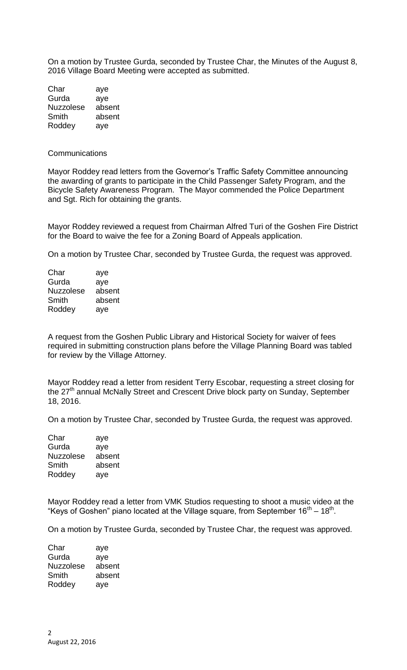On a motion by Trustee Gurda, seconded by Trustee Char, the Minutes of the August 8, 2016 Village Board Meeting were accepted as submitted.

| Char             | aye    |
|------------------|--------|
| Gurda            | aye    |
| <b>Nuzzolese</b> | absent |
| Smith            | absent |
| Roddey           | aye    |

## **Communications**

Mayor Roddey read letters from the Governor's Traffic Safety Committee announcing the awarding of grants to participate in the Child Passenger Safety Program, and the Bicycle Safety Awareness Program. The Mayor commended the Police Department and Sgt. Rich for obtaining the grants.

Mayor Roddey reviewed a request from Chairman Alfred Turi of the Goshen Fire District for the Board to waive the fee for a Zoning Board of Appeals application.

On a motion by Trustee Char, seconded by Trustee Gurda, the request was approved.

| aye    |
|--------|
| aye    |
| absent |
| absent |
| aye    |
|        |

A request from the Goshen Public Library and Historical Society for waiver of fees required in submitting construction plans before the Village Planning Board was tabled for review by the Village Attorney.

Mayor Roddey read a letter from resident Terry Escobar, requesting a street closing for the 27<sup>th</sup> annual McNally Street and Crescent Drive block party on Sunday, September 18, 2016.

On a motion by Trustee Char, seconded by Trustee Gurda, the request was approved.

| Char             | aye    |
|------------------|--------|
| Gurda            | aye    |
| <b>Nuzzolese</b> | absent |
| Smith            | absent |
| Roddey           | aye    |

Mayor Roddey read a letter from VMK Studios requesting to shoot a music video at the "Keys of Goshen" piano located at the Village square, from September  $16<sup>th</sup> - 18<sup>th</sup>$ .

On a motion by Trustee Gurda, seconded by Trustee Char, the request was approved.

| Char             | aye    |
|------------------|--------|
| Gurda            | aye    |
| <b>Nuzzolese</b> | absent |
| Smith            | absent |
| Roddey           | aye    |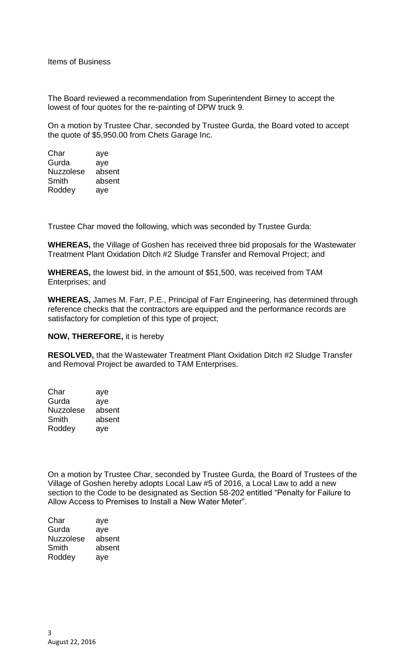Items of Business

The Board reviewed a recommendation from Superintendent Birney to accept the lowest of four quotes for the re-painting of DPW truck 9.

On a motion by Trustee Char, seconded by Trustee Gurda, the Board voted to accept the quote of \$5,950.00 from Chets Garage Inc.

| Char      | aye    |
|-----------|--------|
| Gurda     | ave    |
| Nuzzolese | absent |
| Smith     | absent |
| Roddey    | aye    |

Trustee Char moved the following, which was seconded by Trustee Gurda:

**WHEREAS,** the Village of Goshen has received three bid proposals for the Wastewater Treatment Plant Oxidation Ditch #2 Sludge Transfer and Removal Project; and

**WHEREAS,** the lowest bid, in the amount of \$51,500, was received from TAM Enterprises; and

**WHEREAS,** James M. Farr, P.E., Principal of Farr Engineering, has determined through reference checks that the contractors are equipped and the performance records are satisfactory for completion of this type of project;

## **NOW, THEREFORE,** it is hereby

**RESOLVED,** that the Wastewater Treatment Plant Oxidation Ditch #2 Sludge Transfer and Removal Project be awarded to TAM Enterprises.

| Char             | aye    |
|------------------|--------|
| Gurda            | ave    |
| <b>Nuzzolese</b> | absent |
| Smith            | absent |
| Roddey           | aye    |

On a motion by Trustee Char, seconded by Trustee Gurda, the Board of Trustees of the Village of Goshen hereby adopts Local Law #5 of 2016, a Local Law to add a new section to the Code to be designated as Section 58-202 entitled "Penalty for Failure to Allow Access to Premises to Install a New Water Meter".

| aye    |
|--------|
| aye    |
| absent |
| absent |
| aye    |
|        |